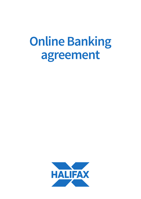# **Online Banking agreement**

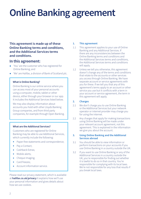## **Online Banking agreement**

### **This agreement is made up of these Online Banking terms and conditions, and the Additional Services terms and conditions.**

### **In this agreement:**

- 'You' are the customer who has registered for Online Banking; and
- 'We' are Halifax, a division of Bank of Scotland plc.

#### **What is Online Banking?**

Online Banking is our online service where you can access most of your personal accounts using a computer, mobile, tablet or other device, either through your browser or our app. It includes the Additional Services listed below.

We may also display information about accounts you hold with other Lloyds Banking Group companies, and from third party companies, for example through Open Banking.

#### **What are the Additional Services?**

Customers who are registered for Online Banking may be able to use Additional Services, which currently include the following:

- Paper-free statements and correspondence;
- Pay a Contact;
- Cashback Extras;
- Mobile alerts:
- Cheque imaging;
- Card freezes:
- Account information service.

Please read our privacy statement, which is available at **[halifax.co.uk/privacy](https://www.halifax.co.uk/securityandprivacy/privacy-explained/data-privacy-notice/)** It explains how we'll use your personal information and gives details about how we use cookies.

#### **1. This agreement**

- 1.1 This agreement applies to your use of Online Banking and any Additional Services. If there are any inconsistencies between the Online Banking terms and conditions and the Additional Services terms and conditions, the Additional Services terms and conditions will apply.
- 1.2 Unless we tell you otherwise, this agreement doesn't change any of the terms and conditions that relate to the accounts or other services you access through Online Banking. We have separate account or service agreements with you for these. If we tell you that any of this agreement's terms apply to an account or other service you use but it conflicts with a term in your account or service agreement, the term in this agreement will apply.

#### **2. Charges**

- 2.1 We don't charge you to use Online Banking or the Additional Services but your network operator or internet provider may charge you for using the internet.
- 2.2 Any charges that apply for making transactions using Online Banking will be made under your relevant account agreement, not this agreement. This is explained in the information we give you about the account.

#### **3. Using Online Banking and the Additional Services abroad**

- 3.1 You should be able to view information or perform transactions on your accounts if you use Online Banking in a country outside the UK.
- 3.2 If you want to use Online Banking or any of the Additional Services in a country outside the UK, you're responsible for finding out whether it is lawful to do so in that country. You're responsible for complying with its local laws. We're not responsible for any loss that results if you break local laws.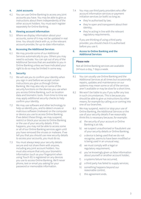#### **4. Joint accounts**

4.1 You can use Online Banking to access any joint accounts you have. You may be able to give us instructions about them independently of the other account holders. You must each register separately for Online Banking.

#### **5. Viewing account information**

5.1 Where we display information about your accounts, some of it may not be updated in real time. You should check with us, or the relevant account provider, for up-to-date information.

#### **6. Accessing the Additional Services**

6.1 We may provide some of our Additional Services automatically to you. Others you may need to activate. You can opt out of any of the Additional Services that are available to you in Online Banking unless we have indicated your right to do so may be limited in some way.

#### **7. Security**

- 7.1 We will ask you to confirm your identity when you sign in and before we accept certain instructions you give us through Online Banking. We may also rely on some of the security functions on the devices you use when you access Online Banking, such as location data and biometric tools. From time to time we may apply additional security checks to help confirm your identity.
- 7.2 We may use software and other technology to help us identify you, and to detect viruses or malicious software (malware) on the computer or device you use to access Online Banking. If we detect these things, we may suspend, restrict or block your access to Online Banking or the use of your security details. If this happens, you may not be able to access some or all of our Online Banking services again until you have removed the viruses or malware. If we tell you that you should use new security details to access your accounts, you must do so.
- 7.3 You must always keep your security details secure and not share them with anyone, including any joint account holders. You must also ensure that only your biometric information (such as your fingerprint when using Touch ID) is registered on any devices you use to access Online Banking. We'll never phone, text or email you asking for your password or memorable information.
- 7.4 You may use third party providers who offer account information services or payment initiation services (or both) so long as:
	- they're authorised by law;
	- they're open and transparent about their identity;
	- they're acting in line with the relevant regulatory requirements.

If you are thinking of using a third party provider, you should check it is authorised before you use it.

#### **8. Access to Online Banking and the Additional Services**

#### **Please note**

Not all Online Banking services are available 24 hours a day, 7 days a week.

- 8.1 You can usually use Online Banking and the Additional Services at all times but occasionally repairs, updates and maintenance on our systems may mean some or all of the services aren't available or may be slow for a short time.
- 8.2 We won't be liable to you if you suffer any loss in such circumstances. This is because you should be able to give us instructions by other means, for example by calling us or coming into one of our branches.
- 8.3 We may suspend, restrict or stop your use of Online Banking, the Additional Services or the use of your security details if we reasonably think this is necessary because, for example:
	- a) the security of your account or Online Banking is at risk;
	- b) we suspect unauthorised or fraudulent use of your security details or Online Banking;
	- c) a device is being used that we do not recognise, seems to have been modified or is being used in an unusual way;
	- d) we must comply with a legal or regulatory requirement;
	- e) you've knowingly given us false information about yourself or another account holder;
	- f) a systems failure has occurred;
	- g) a third party has failed to supply services;
	- h) something happens beyond our reasonable control;
	- i) this agreement ends.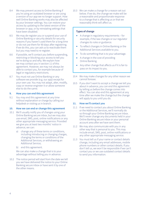- 8.4 We may prevent access to Online Banking if you're using an outdated browser or are using a version of our app we no longer support. How well Online Banking works may also be affected by your browser settings. You can restore your access by updating to the latest version of the browser or app, or by reinstating settings that have been disabled.
- 8.5 We may de-register you or suspend your use of Online Banking or security details for security reasons if you haven't used them for a long time or do not use them for 90 days after registering. If we do this, you can ask us to reactivate them but you may need to re-register.
- 8.6 If possible, we'll contact you before suspending, restricting or blocking your access to tell you we're doing so and why. We explain how we may contact you in section 11 of this agreement. However, we may not always be able to contact you, for example because of legal or regulatory restrictions.
- 8.7 You must not use Online Banking or any software we provide (e.g. our app) except for your own use. You may not adapt, alter, modify, copy or reverse-engineer it or allow someone else to do the same.

#### **9. How you can end this agreement**

9.1 You may end this agreement at any time without explanation or charge by calling our helpdesk or visiting us in branch.

#### **10. How we can end or change this agreement**

- 10.1 We'll usually notify you of changes using your Online Banking secure inbox, but we may also use email, SMS, post, online notifications or any other appropriate messaging service. Provided we give you at least two months' notice in advance, we can:
	- a) change any of these terms or conditions, including introducing or changing charges, changing the terms or conditions of the Additional Services, or withdrawing an Additional Service;
	- b) end this agreement.

We can also make a change that is to your advantage without telling you in advance.

10.2 The notice period will start from the date we tell you we have delivered the notice to your Online Banking secure inbox or have sent it by one of the other means.

10.3 We can make a change for a reason set out below. If we do, the change we make will be a reasonable and proportionate response to a change that is affecting us or that we reasonably think will affect us.

#### **Types of change**

- A change in regulatory requirements for example, if the law changes or our regulator changes its rules or guidance.
- To reflect changes in Online Banking or the Additional Services available to you.
- To do something that is to your advantage.
- A change in the cost of providing Online Banking.
- Any other change that affects us if it is fair to pass on its impact to you.
- 10.4 We may make changes for any other reason we cannot foresee.
- 10.5 If you don't want to accept a change we tell you about in advance, you can end this agreement by telling us before the change comes into effect. You can also end this agreement at any time after we make the change but the change will apply to you until you do.

#### **11. How we'll contact you**

- 11.1 If we need to contact you about Online Banking or the Additional Services, we'll normally do so through your Online Banking secure inbox. We'll never change any documents held in your Online Banking secure inbox or your personal account area after we have sent them.
- 11.2 We may also communicate with you in any other way that is personal to you. This may include email, SMS, post, online notifications or any other appropriate messaging service.
- 11.3 You must tell us if your name or contact details change, including any email addresses, mobile phone numbers or other contact details. If you don't tell us, we won't be responsible if we can't contact you or we use outdated contact details to send you information.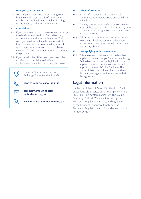#### **12. How you can contact us**

12.1 You can get in touch with us by visiting your branch or calling us. Details of our telephone numbers are available within Online Banking, on the website and from our branches.

#### **13. Complaints**

- 13.1 If you have a complaint, please contact us using the details available within Online Banking, on the website and from our branches. We'll send you a written acknowledgement within five business days and keep you informed of our progress until your complaint has been resolved. We'll do everything we can to sort out the problem.
- 13.2 If you remain dissatisfied, you may be entitled to refer your complaint to the Financial Ombudsman using the contact details below.

Financial Ombudsman Service, Exchange Tower, London E14 9SR **0800 023 4567** or **0300 123 9123 complaint.info@financial-**

**ombudsman.org.uk**

**[www.financial-ombudsman.org.uk](https://www.financial-ombudsman.org.uk/)**

#### **14. Other information**

- 14.1 All the information we give you and all communications between you and us will be in English.
- 14.2 We may choose not to enforce or rely on one or more of these terms and conditions at any time, but we reserve the right to start applying them again at any time.
- 14.3 Calls may be monitored and recorded in case we need to check we have carried out your instructions correctly and to help us improve our quality of service.

#### **15. Law applying to this agreement**

15.1 This agreement is governed by the law that applies to the account you're accessing through Online Banking (for example, if English law applies to your account, the same law will apply to your use of Online Banking). The courts of that jurisdiction will also be able to deal with any legal questions connected with this agreement.

## **Legal information**

Halifax is a division of Bank of Scotland plc. Bank of Scotland plc is registered with company number SC327000. Our registered office is at The Mound, Edinburgh EH1 1YZ. We are authorised by the Prudential Regulation Authority and regulated by the Financial Conduct Authority and the Prudential Regulation Authority under registration number 169628.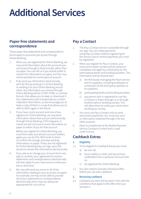## **Additional Services**

## **Paper-free statements and correspondence**

These paper-free statements and correspondence terms apply to accounts you access through Online Banking.

- 1. When you are registered for Online Banking, we may send information about the accounts you can access through it electronically rather than on paper. You can tell us if you would prefer to receive this information on paper, but this may not be possible for some types of account.
- 2. If we send you information electronically, we'll do this by posting it in Online Banking or sending it to your Online Banking secure inbox. Any information you receive through Online Banking will be in PDF, HTML or a similar format, that allows you to keep or download it. Your statements and correspondence contain important information, so we encourage you to keep a copy of them in a way that allows you to refer to them again in the future.
- 3. If you have a joint account and one of you registers for Online Banking, we may send information about that account electronically through Online Banking. If this happens, it means we will not have to send information on paper to either of you for that account.

Before you register for Online Banking, you must first make sure all joint account holders agree you can do this. We'll write to them to confirm the change and stop sending information on paper. If they are not registered for Online Banking they can sign up to the service to receive the information electronically.

- 4. If you ask us to change your account from one type to another, your agreement to receive statements and correspondence electronically will also apply to your new account unless you tell us otherwise.
- 5. We may still send you some or all of the information relating to your accounts on paper. For example, we may not be able to provide all of your statements or correspondence electronically and it may not always be appropriate for us to do so.

## **Pay a Contact**

- 1. The Pay a Contact service is available through our app. You can make payments using Pay a Contact without registering for the service, but to receive payments you must be registered.
- 2. When you register for Pay a Contact, your name and mobile number will be stored on a database managed by a third party for the participating banks and building societies. This information will be shared with:
	- a) the third party managing the Paym service and its suppliers, including employees or contractors of the third-party operator or its suppliers;
	- b) participating banks and building societies;
	- c) any person who is registered to use Pay a Contact or Paym through us or through another bank or building society. This will allow them to verify your name when sending you money.
- 3. You must use Pay a Contact only to send and receive payments. You must not use it or information obtained through it for any other purpose.
- 4. Paym is a trademark of the Mobile Payment Service Company Limited and is used under licence.

## **Cashback Extras**

#### **1. Eligibility**

- 1.1 To be eligible for Cashback Extras you must:
	- a) be over 18;
	- b) have a debit or credit card (as primary cardholder) from a personal account with us;
	- c) be registered for Online Banking.
- 1.2 You also need to activate individual offers before you can earn cashback.

#### **2. Receiving cashback**

2.1 Cashback you earn will be paid in line with the conditions that apply to the offer when you activate it.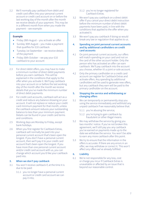2.2 We'll normally pay cashback from debit and credit card offers into your personal current account or credit card account on or before the last working day of the month after the month we receive details of your payment. This may be in a different month from when you made the payment – see example:

#### **Example**

- Friday 28th August you activate an offer
- Sunday 30th August you make a payment that qualifies for £10 cashback
- Tuesday 1st September we receive details of the payment
- Friday 30th October we pay your £10 cashback to your account
- 2.3 For direct debit offers, you may have to make a minimum number of direct debit payments before you earn cashback. This will be explained in the conditions that apply to the offer when you activate it. We'll pay cashback into your account on or before the last working day of the month after the month we receive details that you've made the minimum number of direct debit payments.
- 2.4 For credit card accounts, cashback will act as a credit and reduce any balance showing on your account. It will not replace or reduce your credit card minimum payment for that month, unless the cashback amount reduces your outstanding balance to less than your minimum payment. Details can be found in your credit card terms and conditions.
- 2.5 Working days are Monday to Friday, except bank holidays.
- 2.6 When you first register for Cashback Extras, cashback will normally be paid into your personal current account that's been open the longest. If you don't have a personal current account, then we'll pay it to your credit card account that's been open the longest. If you have more than one personal current account and/or credit card account with us, you can change which account you'd like your cashback paid into.

#### **3. When we don't pay cashback**

- 3.1 You won't receive cashback if, at the time it is due to be paid:
	- 3.1.1 you no longer have a personal current account or credit card account we can pay it into;
- 3.1.2 you're no longer registered for Cashback Extras.
- 3.2 We won't pay you cashback on a direct debit offer if you cancel your direct debit instruction before the minimum number of direct debit payments have been paid, in line with the conditions that applied to the offer when you activated it.
- 3.3 We won't pay you cashback if doing so would break any law or regulation that applies to us.
- **4. Spending on joint personal current accounts and by additional cardholders on credit card accounts**
- 4.1 On joint personal current accounts, our offers will match spending on your card and not on the card of the other account holder. Only the person who has activated an offer can earn cashback. We'll pay cashback into the account you choose, whether it's a joint or sole account.
- 4.2 Only the primary cardholder on a credit card account can register for Cashback Extras and activate offers. Any spending by additional cardholders will be used to generate new offers, but any cashback they earn will be paid to the primary cardholder on the account.

#### **5. Stopping the service and withdrawing or changing offers**

- 5.1 We can temporarily or permanently stop you using the service immediately and withhold any unpaid cashback if we reasonably believe that:
	- 5.1.1 you're abusing the service;
	- 5.1.2 you're trying to gain cashback by fraudulent or other illegal means.
- 5.2 We may withdraw the service by giving you two months' notice. If you've not broken this agreement, we'll still pay you any cashback you've earned on payments made up to the date we withdraw the service. You won't be able to earn any more cashback after this point.
- 5.3 We try to ensure that the information in the offers is accurate. If there are any errors in an offer, we may withdraw or correct it. This won't affect any offers we've already fulfilled.

#### **6. Liability**

6.1 We're not responsible for any loss, cost or charge you incur if Cashback Extras is unavailable or affected by an issue that is beyond our reasonable control.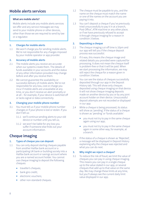## **Mobile alerts services**

#### **What are mobile alerts?**

Mobile alerts include any mobile alerts services we offer and any service messages we may send to your mobile phone or other devices, other than those we are required to send by law or a regulator.

#### **1. Charges for mobile alerts**

1.1 We won't charge you for sending mobile alerts. We're not responsible for any charges imposed by your mobile operator or app provider.

#### **2. Accuracy of mobile alerts**

- 2.1 The mobile alerts you receive are accurate when our systems create them. The details of funds available in your accounts and the status of any other information provided may change before and after you receive them.
- 2.2 We cannot guarantee the availability or successful delivery of mobile alerts. We're not responsible for any loss, cost or charge you incur if mobile alerts are unavailable at any time, or you don't receive an alert promptly or at all – for example, if your device is switched off or lacks signal or data connectivity.

#### **3. Changing your mobile phone number**

- 3.1 You must tell us if your mobile phone number changes or if your phone is lost or stolen. If you don't tell us:
	- 3.1.1 we'll continue sending alerts to your old device or number until you tell us;
	- 3.1.2 we won't be liable for any loss you suffer if someone else finds out your account information.

## **Cheque imaging**

#### **1. Types of cheque you can deposit**

- 1.1 You can only deposit sterling cheques payable from another Halifax bank account or a participating UK bank or building society into a Halifax bank account or savings account where you are a named account holder. You cannot use cheque imaging to deposit the following cheques:
	- traveller's cheques;
	- bank giro credit;
	- electronic vouchers:
	- other non-standard cheques.
- 1.2 The cheque must be payable to you, and the name on the cheque must match the name or one of the names on the account you are paying it into.
- 1.3 You can't deposit a cheque if you've previously tried unsuccessfully to pay it in at a branch, Post Office® , ATM machine or any other place; or if we have previously refused to accept it through cheque imaging for a reason in condition 3 below.

#### **2. Depositing a cheque**

- 2.1 The cheque imaging cut-off time is 10pm and our app will tell you if the cheque deposit process was successful.
- 2.2 If it was, this means the cheque image and related details you provided were captured for processing. It does not mean the cheque itself is problem-free or that it will be paid. When we start processing the information, we may still reject the cheque for a reason given in condition 3 below.
- 2.3 You can see the status of cheques successfully deposited through our app in the Deposit History tab. This will show only cheques deposited using cheque imaging on that device. It will not show cheque-imaging deposits made on another device by you or by any joint account holder on their device. Unsuccessful deposit attempts are not recorded or displayed in our app.
- 2.4 While a cheque is being processed, its status will show as 'pending'. If the status of a cheque is shown as 'pending' or 'funds available':
	- you must not try to pay in the same cheque again using our app;
	- you must not try to pay in the same cheque again in some other way, for example, at a branch.
- 2.5 If the status of a cheque is shown as 'Rejected', a message will be displayed in Deposit History explaining why the cheque was rejected and what you can do next.

#### **3. Why might we reject a cheque?**

3.1 To reduce the risk of fraud, we limit the value of cheques you can pay in using cheque imaging. This means you can pay in a single cheque up to the value stated in our app, or several cheques that add up to that value on the same day. We may change these limits at any time, but you'll always see the current daily limit value displayed in our app.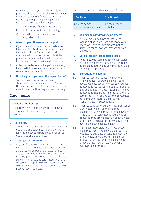- 3.2 For various reasons, we may be unable to process a cheque – please refer to your account terms and conditions for full details. When depositing through cheque imaging, the following reasons could also apply:
	- a) it is not a type of cheque we can accept;
	- b) the cheque is not in pounds sterling:
	- c) the quality of the cheque image is not good enough.

#### **4. What happens if we reject a cheque?**

- 4.1 If you successfully deposit a cheque but we later reject it, this will show as a debit in your transactions in the Deposit History tab and the funds will no longer be available. Unless prevented by law, we'll also tell you the reason for the rejection and what you should do next.
- 4.2 A cheque can be returned unpaid even after you have paid it into your account, as explained in your account terms and conditions.

#### **5. How long must you keep the paper cheque?**

5.1 You must keep the paper cheque until it is showing as 'funds available' in your Deposit History. This is in case there are queries or you need to resubmit the cheque some other way.

### **Card freezes**

#### **What are card freezes?**

Card freezes give you more control by allowing you to select how and where your card can be used.

#### **1. Eligibility**

1.1 To set up a card freeze, you must hold a Halifax debit card or credit card. The availability and features of each card freeze may differ between debit cards and credit cards.

#### **2. Setting up a card freeze**

2.1 Any card freezes you set up will apply to the card or cards you select – as identified by the 16-digit card number on the relevant cards – and to any replacement for those cards. The only exception is when you report a card lost or stolen. In this case, any card freezes you have set up will not apply to the replacement card, so if you want a card freeze to continue you will need to reset it yourself.

2.2 Who can set up and cancel a card freeze?

| <b>Debit cards</b>                                      | <b>Credit cards</b> |
|---------------------------------------------------------|---------------------|
| Only the named<br>cardholder for each card   cardholder | Only the primary    |

#### **3. Adding and withdrawing card freezes**

3.1 We may make new types of card freeze available at any time. If we withdraw a card freeze, we'll give you two months' notice unless we cannot do so for reasons outside our control.

#### **4. Card freezes on lost or stolen cards**

4.1 If you know your card has been lost or stolen, you should report this immediately by calling us or signing in to Online Banking, rather than setting up a card freeze.

#### **5. Exceptions and liability**

- 5.1 When we receive a request for payment, we'll make every effort to act on any card freezes you have set up. However, sometimes transactions you request will still go through or may be declined. This may include any 'offline' transactions that are not referred to us for prior authorisation – for example, some contactless payments and recurring transactions, such as magazine subscriptions.
- 5.2 When we consider whether or not a transaction is permitted, we rely on the information retailers give us when they request a payment. If a retailer incorrectly describes the type of transaction you are making so it doesn't match a card freeze you have set up, we may allow or decline the payment accordingly.
- 5.3 We are not responsible for any loss, cost or charge you incur if we allow a transaction you request and authorise despite having set up a card freeze. Also, we are not liable for any loss, cost or charge you incur if a payment is made or declined for reasons beyond our reasonable control.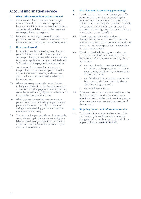## **Account information service**

#### **1. What is the account information service?**

- 1.1 Our account information service allows you to keep track of your money by displaying balances and information from online payment accounts held with banks and other payment service providers in one place.
- 1.2 By adding accounts you have with other providers, we are able to show information from those accounts alongside your Halifax accounts.

#### **2. How does it work?**

- 2.1 In order to provide the service, we will access your online accounts with other payment service providers by using a dedicated interface (such as an application programme interface or "API") set up by the payment service provider.
- 2.2 You give explicit consent for us to contact the providers of the accounts you add to the account information service, and to access and use the account information relating to those accounts.
- 2.3 Where necessary to provide the service, we will engage trusted third parties to access your accounts with other payment service providers. We will ensure that any of your data shared with third parties is secure at all times.
- 2.4 When you use the service, we may analyse your account information to give you a clearer picture and more control of your finances in a single place, enabling you to manage your money more effectively.
- 2.5 The information you provide must be accurate, complete and up to date and must not give a false impression of your identity. Your right to access and use the Service is personal to you and is not transferable.

#### **3. What happens if something goes wrong?**

- 3.1 We will be liable for loss or damage you suffer as a foreseeable result of us breaching the terms of our account information service, our failure to meet our obligations under applicable law to protect your information and keep it secure or of any obligation that can't be limited or excluded as a matter of law.
- 3.2 We will have no liability for any loss or damage arising from your use of the account information service to the extent that another of your payment service providers is responsible for that loss or damage.
- 3.3 We will not be liable for any loss or damage caused as a result of unauthorised access to the account information service or any of your accounts if:
	- a) you intentionally or negligently failed to take all reasonable precautions to protect your security details or any device used to access the service;
	- b) you failed to notify us that the service was being accessed in an unauthorised way after becoming aware of it;
	- c) you acted fraudulently.
- 3.4 When you use our account information service, if you suspect that any information shown about your accounts held with another provider is incorrect, you must contact the provider of that account.

#### **4. Stopping the account information service**

4.1 You can end these terms and your use of the service at any time without explanation or charge by using the 'Remove' button within our app or calling us on **0345 124 1353.**